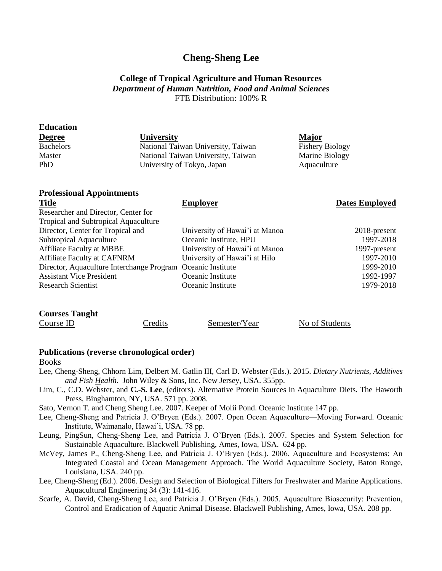# **Cheng-Sheng Lee**

## **College of Tropical Agriculture and Human Resources** *Department of Human Nutrition, Food and Animal Sciences* FTE Distribution: 100% R

| <b>Education</b>                     |                                    |                        |
|--------------------------------------|------------------------------------|------------------------|
| <b>Degree</b>                        | University                         | Major                  |
| <b>Bachelors</b>                     | National Taiwan University, Taiwan | <b>Fishery Biology</b> |
| Master                               | National Taiwan University, Taiwan | Marine Biology         |
| <b>PhD</b>                           | University of Tokyo, Japan         | Aquaculture            |
| <b>Professional Appointments</b>     |                                    |                        |
| <b>Title</b>                         | <b>Employer</b>                    | <b>Dates Employed</b>  |
| Researcher and Director, Center for  |                                    |                        |
| Tropical and Subtropical Aquaculture |                                    |                        |
| Director, Center for Tropical and    | University of Hawai'i at Manoa     | 2018-present           |
| Subtropical Aquaculture              | Oceanic Institute, HPU             | 1997-2018              |

Affiliate Faculty at MBBE University of Hawai'i at Manoa 1997-present Affiliate Faculty at CAFNRM University of Hawai'i at Hilo 1997-2010 Director, Aquaculture Interchange Program Oceanic Institute 1999-2010 Assistant Vice President Coeanic Institute 1992-1997 Research Scientist Oceanic Institute 1979-2018

## **Publications (reverse chronological order)**

#### Books

**Courses Taught**

- Lee, Cheng-Sheng, Chhorn Lim, Delbert M. Gatlin III, Carl D. Webster (Eds.). 2015. *Dietary Nutrients, Additives and Fish Health*. John Wiley & Sons, Inc. New Jersey, USA. 355pp.
- Lim, C., C.D. Webster, and **C.-S. Lee**, (editors). Alternative Protein Sources in Aquaculture Diets. The Haworth Press, Binghamton, NY, USA. 571 pp. 2008.
- Sato, Vernon T. and Cheng Sheng Lee. 2007. Keeper of Molii Pond. Oceanic Institute 147 pp.

Course ID Credits Semester/Year No of Students

- Lee, Cheng-Sheng and Patricia J. O'Bryen (Eds.). 2007. Open Ocean Aquaculture—Moving Forward. Oceanic Institute, Waimanalo, Hawai'i, USA. 78 pp.
- Leung, PingSun, Cheng-Sheng Lee, and Patricia J. O'Bryen (Eds.). 2007. Species and System Selection for Sustainable Aquaculture. Blackwell Publishing, Ames, Iowa, USA. 624 pp.
- McVey, James P., Cheng-Sheng Lee, and Patricia J. O'Bryen (Eds.). 2006. Aquaculture and Ecosystems: An Integrated Coastal and Ocean Management Approach. The World Aquaculture Society, Baton Rouge, Louisiana, USA. 240 pp.
- Lee, Cheng-Sheng (Ed.). 2006. Design and Selection of Biological Filters for Freshwater and Marine Applications. Aquacultural Engineering 34 (3): 141-416.
- Scarfe, A. David, Cheng-Sheng Lee, and Patricia J. O'Bryen (Eds.). 2005. Aquaculture Biosecurity: Prevention, Control and Eradication of Aquatic Animal Disease. Blackwell Publishing, Ames, Iowa, USA. 208 pp.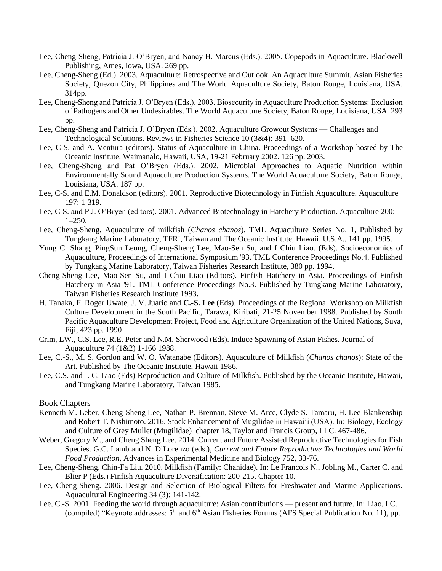- Lee, Cheng-Sheng, Patricia J. O'Bryen, and Nancy H. Marcus (Eds.). 2005. Copepods in Aquaculture. Blackwell Publishing, Ames, Iowa, USA. 269 pp.
- Lee, Cheng-Sheng (Ed.). 2003. Aquaculture: Retrospective and Outlook. An Aquaculture Summit. Asian Fisheries Society, Quezon City, Philippines and The World Aquaculture Society, Baton Rouge, Louisiana, USA. 314pp.
- Lee, Cheng-Sheng and Patricia J. O'Bryen (Eds.). 2003. Biosecurity in Aquaculture Production Systems: Exclusion of Pathogens and Other Undesirables. The World Aquaculture Society, Baton Rouge, Louisiana, USA. 293 pp.
- Lee, Cheng-Sheng and Patricia J. O'Bryen (Eds.). 2002. Aquaculture Growout Systems Challenges and Technological Solutions. Reviews in Fisheries Science 10 (3&4): 391–620.
- Lee, C-S. and A. Ventura (editors). Status of Aquaculture in China. Proceedings of a Workshop hosted by The Oceanic Institute. Waimanalo, Hawaii, USA, 19-21 February 2002. 126 pp. 2003.
- Lee, Cheng-Sheng and Pat O'Bryen (Eds.). 2002. Microbial Approaches to Aquatic Nutrition within Environmentally Sound Aquaculture Production Systems. The World Aquaculture Society, Baton Rouge, Louisiana, USA. 187 pp.
- Lee, C-S. and E.M. Donaldson (editors). 2001. Reproductive Biotechnology in Finfish Aquaculture. Aquaculture 197: 1-319.
- Lee, C-S. and P.J. O'Bryen (editors). 2001. Advanced Biotechnology in Hatchery Production. Aquaculture 200: 1–250.
- Lee, Cheng-Sheng. Aquaculture of milkfish (*Chanos chanos*). TML Aquaculture Series No. 1, Published by Tungkang Marine Laboratory, TFRI, Taiwan and The Oceanic Institute, Hawaii, U.S.A., 141 pp. 1995.
- Yung C. Shang, PingSun Leung, Cheng-Sheng Lee, Mao-Sen Su, and I Chiu Liao. (Eds). Socioeconomics of Aquaculture, Proceedings of International Symposium '93. TML Conference Proceedings No.4. Published by Tungkang Marine Laboratory, Taiwan Fisheries Research Institute, 380 pp. 1994.
- Cheng-Sheng Lee, Mao-Sen Su, and I Chiu Liao (Editors). Finfish Hatchery in Asia. Proceedings of Finfish Hatchery in Asia '91. TML Conference Proceedings No.3. Published by Tungkang Marine Laboratory, Taiwan Fisheries Research Institute 1993.
- H. Tanaka, F. Roger Uwate, J. V. Juario and **C.-S. Lee** (Eds). Proceedings of the Regional Workshop on Milkfish Culture Development in the South Pacific, Tarawa, Kiribati, 21-25 November 1988. Published by South Pacific Aquaculture Development Project, Food and Agriculture Organization of the United Nations, Suva, Fiji, 423 pp. 1990
- Crim, LW., C.S. Lee, R.E. Peter and N.M. Sherwood (Eds). Induce Spawning of Asian Fishes. Journal of Aquaculture 74 (1&2) 1-166 1988.
- Lee, C.-S**.**, M. S. Gordon and W. O. Watanabe (Editors). Aquaculture of Milkfish (*Chanos chanos*): State of the Art. Published by The Oceanic Institute, Hawaii 1986.
- Lee, C.S. and I. C. Liao (Eds) Reproduction and Culture of Milkfish. Published by the Oceanic Institute, Hawaii, and Tungkang Marine Laboratory, Taiwan 1985.

### Book Chapters

- Kenneth M. Leber, Cheng-Sheng Lee, Nathan P. Brennan, Steve M. Arce, Clyde S. Tamaru, H. Lee Blankenship and Robert T. Nishimoto. 2016. Stock Enhancement of Mugilidae in Hawai'i (USA). In: Biology, Ecology and Culture of Grey Mullet (Mugilidae) chapter 18, Taylor and Francis Group, LLC. 467-486.
- Weber, Gregory M., and Cheng Sheng Lee. 2014. Current and Future Assisted Reproductive Technologies for Fish Species. G.C. Lamb and N. DiLorenzo (eds.), *Current and Future Reproductive Technologies and World Food Production*, Advances in Experimental Medicine and Biology 752, 33-76.
- Lee, Cheng-Sheng, Chin-Fa Liu. 2010. Milkfish (Family: Chanidae). In: Le Francois N., Jobling M., Carter C. and Blier P (Eds.) Finfish Aquaculture Diversification: 200-215. Chapter 10.
- Lee, Cheng-Sheng. 2006. Design and Selection of Biological Filters for Freshwater and Marine Applications. Aquacultural Engineering 34 (3): 141-142.
- Lee, C.-S. 2001. Feeding the world through aquaculture: Asian contributions present and future. In: Liao, I C. (compiled) "Keynote addresses:  $5<sup>th</sup>$  and  $6<sup>th</sup>$  Asian Fisheries Forums (AFS Special Publication No. 11), pp.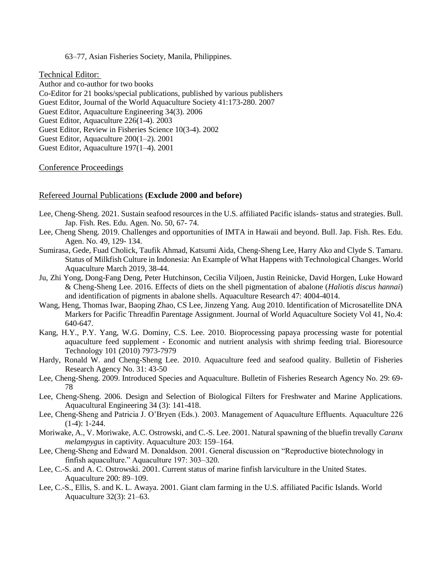#### 63–77, Asian Fisheries Society, Manila, Philippines.

#### Technical Editor:

Author and co-author for two books Co-Editor for 21 books/special publications, published by various publishers Guest Editor, Journal of the World Aquaculture Society 41:173-280. 2007 Guest Editor, Aquaculture Engineering 34(3). 2006 Guest Editor, Aquaculture 226(1-4). 2003 Guest Editor, Review in Fisheries Science 10(3-4). 2002 Guest Editor, Aquaculture 200(1–2). 2001 Guest Editor, Aquaculture 197(1–4). 2001

#### Conference Proceedings

#### Refereed Journal Publications **(Exclude 2000 and before)**

- Lee, Cheng-Sheng. 2021. Sustain seafood resources in the U.S. affiliated Pacific islands- status and strategies. Bull. Jap. Fish. Res. Edu. Agen. No. 50, 67- 74.
- Lee, Cheng Sheng. 2019. Challenges and opportunities of IMTA in Hawaii and beyond. Bull. Jap. Fish. Res. Edu. Agen. No. 49, 129- 134.
- Sumirasa, Gede, Fuad Cholick, Taufik Ahmad, Katsumi Aida, Cheng-Sheng Lee, Harry Ako and Clyde S. Tamaru. Status of Milkfish Culture in Indonesia: An Example of What Happens with Technological Changes. World Aquaculture March 2019, 38-44.
- Ju, Zhi Yong, Dong-Fang Deng, Peter Hutchinson, Cecilia Viljoen, Justin Reinicke, David Horgen, Luke Howard & Cheng-Sheng Lee. 2016. Effects of diets on the shell pigmentation of abalone (*Haliotis discus hannai*) and identification of pigments in abalone shells. Aquaculture Research 47: 4004-4014.
- Wang, Heng, Thomas Iwar, Baoping Zhao, CS Lee, Jinzeng Yang. Aug 2010. Identification of Microsatellite DNA Markers for Pacific Threadfin Parentage Assignment. Journal of World Aquaculture Society Vol 41, No.4: 640-647.
- Kang, H.Y., P.Y. Yang, W.G. Dominy, C.S. Lee. 2010. Bioprocessing papaya processing waste for potential aquaculture feed supplement - Economic and nutrient analysis with shrimp feeding trial. Bioresource Technology 101 (2010) 7973-7979
- Hardy, Ronald W. and Cheng-Sheng Lee. 2010. Aquaculture feed and seafood quality. Bulletin of Fisheries Research Agency No. 31: 43-50
- Lee, Cheng-Sheng. 2009. Introduced Species and Aquaculture. Bulletin of Fisheries Research Agency No. 29: 69- 78
- Lee, Cheng-Sheng. 2006. Design and Selection of Biological Filters for Freshwater and Marine Applications. Aquacultural Engineering 34 (3): 141-418.
- Lee, Cheng-Sheng and Patricia J. O'Bryen (Eds.). 2003. Management of Aquaculture Effluents. Aquaculture 226 (1-4): 1-244.
- Moriwake, A., V. Moriwake, A.C. Ostrowski, and C.-S. Lee. 2001. Natural spawning of the bluefin trevally *Caranx melampygus* in captivity. Aquaculture 203: 159–164.
- Lee, Cheng-Sheng and Edward M. Donaldson. 2001. General discussion on "Reproductive biotechnology in finfish aquaculture." Aquaculture 197: 303–320.
- Lee, C.-S. and A. C. Ostrowski. 2001. Current status of marine finfish larviculture in the United States. Aquaculture 200: 89–109.
- Lee, C.-S., Ellis, S. and K. L. Awaya. 2001. Giant clam farming in the U.S. affiliated Pacific Islands. World Aquaculture 32(3): 21–63.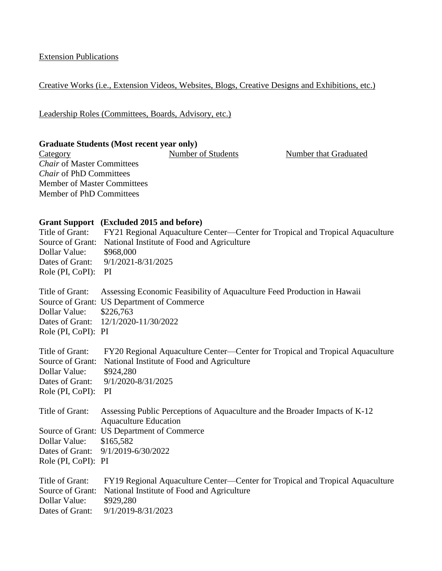Extension Publications

# Creative Works (i.e., Extension Videos, Websites, Blogs, Creative Designs and Exhibitions, etc.)

Leadership Roles (Committees, Boards, Advisory, etc.)

**Graduate Students (Most recent year only)**<br>Category Mumber of Students Category **Number of Students** Number that Graduated *Chair* of Master Committees *Chair* of PhD Committees Member of Master Committees Member of PhD Committees

|                     | Grant Support (Excluded 2015 and before)                                                                    |
|---------------------|-------------------------------------------------------------------------------------------------------------|
| Title of Grant:     | FY21 Regional Aquaculture Center—Center for Tropical and Tropical Aquaculture                               |
| Source of Grant:    | National Institute of Food and Agriculture                                                                  |
| Dollar Value:       | \$968,000                                                                                                   |
| Dates of Grant:     | 9/1/2021-8/31/2025                                                                                          |
| Role (PI, CoPI):    | PI                                                                                                          |
| Title of Grant:     | Assessing Economic Feasibility of Aquaculture Feed Production in Hawaii                                     |
|                     | Source of Grant: US Department of Commerce                                                                  |
| Dollar Value:       | \$226,763                                                                                                   |
| Dates of Grant:     | 12/1/2020-11/30/2022                                                                                        |
| Role (PI, CoPI): PI |                                                                                                             |
| Title of Grant:     | FY20 Regional Aquaculture Center—Center for Tropical and Tropical Aquaculture                               |
| Source of Grant:    | National Institute of Food and Agriculture                                                                  |
| Dollar Value:       | \$924,280                                                                                                   |
| Dates of Grant:     | 9/1/2020-8/31/2025                                                                                          |
| Role (PI, CoPI):    | PI                                                                                                          |
| Title of Grant:     | Assessing Public Perceptions of Aquaculture and the Broader Impacts of K-12<br><b>Aquaculture Education</b> |
|                     | Source of Grant: US Department of Commerce                                                                  |
| Dollar Value:       | \$165,582                                                                                                   |
| Dates of Grant:     | 9/1/2019-6/30/2022                                                                                          |
| Role (PI, CoPI): PI |                                                                                                             |
|                     |                                                                                                             |
| Title of Grant:     | FY19 Regional Aquaculture Center—Center for Tropical and Tropical Aquaculture                               |
| Source of Grant:    | National Institute of Food and Agriculture                                                                  |
| Dollar Value:       | \$929,280                                                                                                   |
| Dates of Grant:     | 9/1/2019-8/31/2023                                                                                          |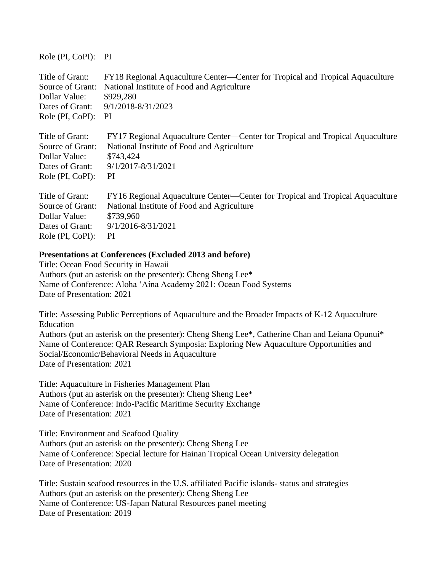Role (PI, CoPI): PI

| Title of Grant:  | FY18 Regional Aquaculture Center—Center for Tropical and Tropical Aquaculture |
|------------------|-------------------------------------------------------------------------------|
| Source of Grant: | National Institute of Food and Agriculture                                    |
| Dollar Value:    | \$929,280                                                                     |
| Dates of Grant:  | 9/1/2018-8/31/2023                                                            |
| Role (PI, CoPI): | <b>PI</b>                                                                     |
| Title of Grant:  | FY17 Regional Aquaculture Center—Center for Tropical and Tropical Aquaculture |
| Source of Grant: | National Institute of Food and Agriculture                                    |
| Dollar Value:    | \$743,424                                                                     |
| Dates of Grant:  | 9/1/2017-8/31/2021                                                            |
| Role (PI, CoPI): | <sub>PI</sub>                                                                 |
| Title of Grant:  | FY16 Regional Aquaculture Center—Center for Tropical and Tropical Aquaculture |
| Source of Grant: | National Institute of Food and Agriculture                                    |
| Dollar Value:    | \$739,960                                                                     |
| Dates of Grant:  | 9/1/2016-8/31/2021                                                            |
| Role (PI, CoPI): | PI                                                                            |

## **Presentations at Conferences (Excluded 2013 and before)**

Title: Ocean Food Security in Hawaii Authors (put an asterisk on the presenter): Cheng Sheng Lee\* Name of Conference: Aloha ʻAina Academy 2021: Ocean Food Systems Date of Presentation: 2021

Title: Assessing Public Perceptions of Aquaculture and the Broader Impacts of K-12 Aquaculture Education Authors (put an asterisk on the presenter): Cheng Sheng Lee\*, Catherine Chan and Leiana Opunui\* Name of Conference: QAR Research Symposia: Exploring New Aquaculture Opportunities and Social/Economic/Behavioral Needs in Aquaculture Date of Presentation: 2021

Title: Aquaculture in Fisheries Management Plan Authors (put an asterisk on the presenter): Cheng Sheng Lee\* Name of Conference: Indo-Pacific Maritime Security Exchange Date of Presentation: 2021

Title: Environment and Seafood Quality Authors (put an asterisk on the presenter): Cheng Sheng Lee Name of Conference: Special lecture for Hainan Tropical Ocean University delegation Date of Presentation: 2020

Title: Sustain seafood resources in the U.S. affiliated Pacific islands- status and strategies Authors (put an asterisk on the presenter): Cheng Sheng Lee Name of Conference: US-Japan Natural Resources panel meeting Date of Presentation: 2019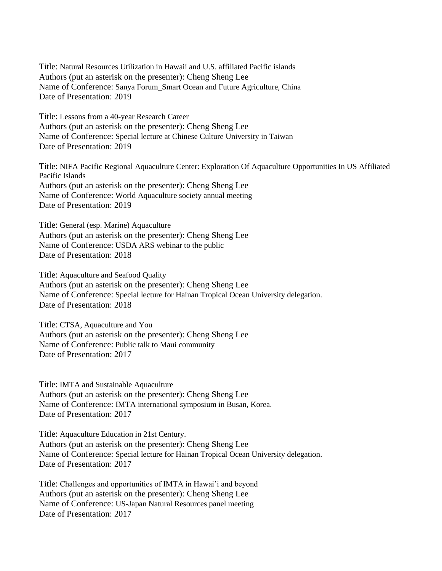Title: Natural Resources Utilization in Hawaii and U.S. affiliated Pacific islands Authors (put an asterisk on the presenter): Cheng Sheng Lee Name of Conference: Sanya Forum\_Smart Ocean and Future Agriculture, China Date of Presentation: 2019

Title: Lessons from a 40-year Research Career Authors (put an asterisk on the presenter): Cheng Sheng Lee Name of Conference: Special lecture at Chinese Culture University in Taiwan Date of Presentation: 2019

Title: NIFA Pacific Regional Aquaculture Center: Exploration Of Aquaculture Opportunities In US Affiliated Pacific Islands Authors (put an asterisk on the presenter): Cheng Sheng Lee Name of Conference: World Aquaculture society annual meeting Date of Presentation: 2019

Title: General (esp. Marine) Aquaculture Authors (put an asterisk on the presenter): Cheng Sheng Lee Name of Conference: USDA ARS webinar to the public Date of Presentation: 2018

Title: Aquaculture and Seafood Quality Authors (put an asterisk on the presenter): Cheng Sheng Lee Name of Conference: Special lecture for Hainan Tropical Ocean University delegation. Date of Presentation: 2018

Title: CTSA, Aquaculture and You Authors (put an asterisk on the presenter): Cheng Sheng Lee Name of Conference: Public talk to Maui community Date of Presentation: 2017

Title: IMTA and Sustainable Aquaculture Authors (put an asterisk on the presenter): Cheng Sheng Lee Name of Conference: IMTA international symposium in Busan, Korea. Date of Presentation: 2017

Title: Aquaculture Education in 21st Century. Authors (put an asterisk on the presenter): Cheng Sheng Lee Name of Conference: Special lecture for Hainan Tropical Ocean University delegation. Date of Presentation: 2017

Title: Challenges and opportunities of IMTA in Hawai'i and beyond Authors (put an asterisk on the presenter): Cheng Sheng Lee Name of Conference: US-Japan Natural Resources panel meeting Date of Presentation: 2017